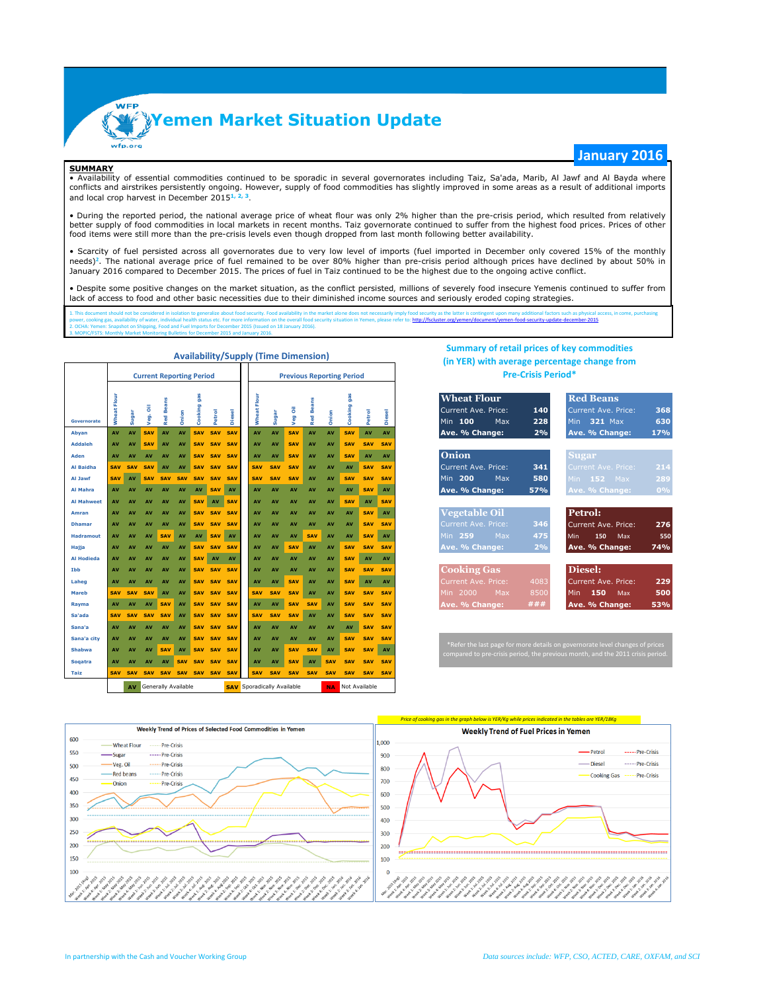

### **SUMMARY**

• Availability of essential commodities continued to be sporadic in several governorates including Taiz, Sa'ada, Marib, Al Jawf and Al Bayda where conflicts and airstrikes persistently ongoing. However, supply of food commodities has slightly improved in some areas as a result of additional imports and local crop harvest in December 2015**1, 2, <sup>3</sup>**.

• During the reported period, the national average price of wheat flour was only 2% higher than the pre-crisis period, which resulted from relatively better supply of food commodities in local markets in recent months. Taiz governorate continued to suffer from the highest food prices. Prices of other food items were still more than the pre-crisis levels even though dropped from last month following better availability.

• Scarcity of fuel persisted across all governorates due to very low level of imports (fuel imported in December only covered 15% of the monthly needs)<sup>2</sup>. The national average price of fuel remained to be over 80% higher than pre-crisis period although prices have declined by about 50% in January 2016 compared to December 2015. The prices of fuel in Taiz continued to be the highest due to the ongoing active conflict.

• Despite some positive changes on the market situation, as the conflict persisted, millions of severely food insecure Yemenis continued to suffer from lack of access to food and other basic necessities due to their diminished income sources and seriously eroded coping strategies.

1. This document should not be considered in isolation to generalize about food security. Food availability in the market alone does not necessarily imply food security as the latter is contingent upon many additional fact power, cooking gas, availability of water, individual health status etc. For more information on the overall food security situation in Yemen, please refer to: http://fscluster.org/yemen/document/yemen-food-security-update 2. OCHA: Yemen: Snapshot on Shipping, Food and Fuel Imports for December 2015 (Issued on 18 January 2016).

|                             |                     |                  |                         |                          | <b>Current Reporting Period</b> |                              |                          | <b>Previous Reporting Period</b> |                       |                                   |                   |                        |             |                              |                   |                          | the rent men average betweenings analyse trout<br><b>Pre-Crisis Period*</b>                                                                                                                                         |  |  |  |  |  |  |  |  |  |  |  |  |
|-----------------------------|---------------------|------------------|-------------------------|--------------------------|---------------------------------|------------------------------|--------------------------|----------------------------------|-----------------------|-----------------------------------|-------------------|------------------------|-------------|------------------------------|-------------------|--------------------------|---------------------------------------------------------------------------------------------------------------------------------------------------------------------------------------------------------------------|--|--|--|--|--|--|--|--|--|--|--|--|
| <b>Governorate</b><br>Abyan | Wheat Flour<br>AV   | Sugar<br>AV      | ā<br>Veg.<br><b>SAV</b> | <b>Red Beans</b><br>AV   | Onion<br>AV                     | gas<br>Cooking<br><b>SAV</b> | Petrol<br><b>SAV</b>     | <b>Diesel</b><br><b>SAV</b>      | Flour<br>ă<br>ŝ<br>AV | Sugar<br>AV                       | Veg Oil<br>SAV    | <b>Red Beans</b><br>AV | Onion<br>AV | gas<br>Cooking<br><b>SAV</b> | Petrol<br>AV      | <b>Diesel</b><br>AV      | <b>Wheat Flour</b><br><b>Red Beans</b><br>Current Ave. Price:<br><b>Current Ave. Price:</b><br>368<br>140<br>630<br>Min 100<br>228<br>321 Max<br>Max<br><b>Min</b><br>Ave. % Change:<br>17%<br>2%<br>Ave. % Change: |  |  |  |  |  |  |  |  |  |  |  |  |
| <b>Addaleh</b>              | AV                  | AV               | <b>SAV</b>              | AV                       | AV                              | <b>SAV</b>                   | <b>SAV</b>               | <b>SAV</b>                       | AV                    | AV                                | <b>SAV</b>        | AV                     | AV          | <b>SAV</b>                   | <b>SAV</b>        | <b>SAV</b>               |                                                                                                                                                                                                                     |  |  |  |  |  |  |  |  |  |  |  |  |
| Aden                        | AV                  | AV               | AV                      | AV                       | AV                              | <b>SAV</b>                   | <b>SAV</b>               | <b>SAV</b>                       | AV                    | AV                                | <b>SAV</b>        | AV                     | AV          | <b>SAV</b>                   | AV                | AV                       | <b>Onion</b><br>Sugar                                                                                                                                                                                               |  |  |  |  |  |  |  |  |  |  |  |  |
| <b>Al Baidha</b>            | <b>SAV</b>          | <b>SAV</b>       | <b>SAV</b>              | AV                       | AV                              |                              | SAV SAV                  | <b>SAV</b>                       | SAV                   | <b>SAV</b>                        | SAV               | AV                     | AV          | AV                           | <b>SAV</b>        | SAV                      | Current Ave. Price:<br>341<br>214<br>Current Ave. Price:                                                                                                                                                            |  |  |  |  |  |  |  |  |  |  |  |  |
| Al Jawf                     | <b>SAV</b>          | AV               | <b>SAV</b>              | <b>SAV</b>               | <b>SAV</b>                      | <b>SAV</b>                   | <b>SAV</b>               | <b>SAV</b>                       | <b>SAV</b>            | <b>SAV</b>                        | SAV               | AV                     | AV          | <b>SAV</b>                   | <b>SAV</b>        | SAV                      | Min 200<br>580<br>Min $152$ Max<br>289<br>Max                                                                                                                                                                       |  |  |  |  |  |  |  |  |  |  |  |  |
| <b>Al Mahra</b>             | AV                  | AV               | AV                      | AV                       | AV                              | AV                           | <b>SAV</b>               | AV                               | AV                    | AV                                | AV                | AV                     | AV          | AV                           | <b>SAV</b>        | AV                       | 57%<br>Ave. % Change:<br>0%<br>Ave. % Change:                                                                                                                                                                       |  |  |  |  |  |  |  |  |  |  |  |  |
| <b>Al Mahweet</b>           | AV                  | AV               | AV                      | AV                       | AV                              | <b>SAV</b>                   | AV                       | <b>SAV</b>                       | AV                    | AV                                | AV                | AV                     | AV          | <b>SAV</b>                   | AV                | <b>SAV</b>               |                                                                                                                                                                                                                     |  |  |  |  |  |  |  |  |  |  |  |  |
| Amran                       | AV                  | AV               | AV                      | AV                       | AV                              | <b>SAV</b>                   | <b>SAV</b>               | <b>SAV</b>                       | AV                    | AV                                | AV                | AV                     | AV          | AV                           | <b>SAV</b>        | AV                       | <b>Vegetable Oil</b><br>Petrol:                                                                                                                                                                                     |  |  |  |  |  |  |  |  |  |  |  |  |
| <b>Dhamar</b>               | AV                  | AV               | AV                      | AV                       | AV                              | <b>SAV</b>                   | <b>SAV</b>               | SAV                              | AV                    | AV                                | AV                | AV                     | AV          | AV                           | <b>SAV</b>        | SAV                      | 276<br>346<br>Current Ave. Price:<br><b>Current Ave. Price:</b>                                                                                                                                                     |  |  |  |  |  |  |  |  |  |  |  |  |
| <b>Hadramout</b>            | AV                  | AV               | AV                      | <b>SAV</b>               | AV                              | AV                           | <b>SAV</b>               | AV                               | AV                    | AV                                | AV                | <b>SAV</b>             | AV          | AV                           | <b>SAV</b>        | AV                       | 259<br>Max<br>475<br>Min.<br>150<br>550<br>Min<br>Max                                                                                                                                                               |  |  |  |  |  |  |  |  |  |  |  |  |
| Hajja                       | AV                  | AV               | AV                      | AV                       | AV                              | <b>SAV</b>                   | <b>SAV</b>               | SAV                              | AV                    | AV                                | <b>SAV</b>        | AV                     | AV          | <b>SAV</b>                   | <b>SAV</b>        | <b>SAV</b>               | Ave. % Change:<br>74%<br>2%<br>Ave. % Change:                                                                                                                                                                       |  |  |  |  |  |  |  |  |  |  |  |  |
| <b>Al Hodieda</b>           | AV                  | AV               | AV                      | AV                       | AV                              | <b>SAV</b>                   | AV                       | AV                               | AV                    | AV                                | AV                | AV                     | AV          | <b>SAV</b>                   | AV                | AV                       |                                                                                                                                                                                                                     |  |  |  |  |  |  |  |  |  |  |  |  |
| Ibb                         | AV                  | AV               | AV                      | AV                       | AV                              | <b>SAV</b>                   | <b>SAV</b>               | <b>SAV</b>                       | AV                    | AV                                | AV                | AV                     | AV          | <b>SAV</b>                   | <b>SAV</b>        | <b>SAV</b>               | Diesel:<br><b>Cooking Gas</b>                                                                                                                                                                                       |  |  |  |  |  |  |  |  |  |  |  |  |
| Laheg                       | AV                  | AV               | AV                      | AV                       | AV                              | <b>SAV</b>                   | <b>SAV</b>               | <b>SAV</b>                       | AV                    | AV                                | <b>SAV</b>        | AV                     | AV          | <b>SAV</b>                   | AV                | AV                       | 229<br>Current Ave. Price:<br>4083<br>Current Ave. Price:                                                                                                                                                           |  |  |  |  |  |  |  |  |  |  |  |  |
| <b>Mareb</b>                | <b>SAV</b>          | <b>SAV</b>       | <b>SAV</b>              | AV                       | AV                              | <b>SAV</b>                   | <b>SAV</b>               | <b>SAV</b>                       | <b>SAV</b>            | <b>SAV</b>                        | <b>SAV</b>        | AV                     | AV          | <b>SAV</b>                   | <b>SAV</b>        | <b>SAV</b>               | 500<br>8500<br>2000<br>Max<br>150<br>Min.<br>Min<br>Max                                                                                                                                                             |  |  |  |  |  |  |  |  |  |  |  |  |
| Rayma<br>Sa'ada             | AV<br><b>SAV</b>    | AV<br><b>SAV</b> | AV<br><b>SAV</b>        | <b>SAV</b><br><b>SAV</b> | AV<br>AV                        | <b>SAV</b><br><b>SAV</b>     | <b>SAV</b><br><b>SAV</b> | <b>SAV</b><br><b>SAV</b>         | AV<br><b>SAV</b>      | AV<br><b>SAV</b>                  | SAV<br><b>SAV</b> | <b>SAV</b><br>AV       | AV<br>AV    | <b>SAV</b><br><b>SAV</b>     | <b>SAV</b><br>SAV | <b>SAV</b><br><b>SAV</b> | ###<br>53%<br>Ave. % Change:<br>Ave. % Change:                                                                                                                                                                      |  |  |  |  |  |  |  |  |  |  |  |  |
| Sana'a                      | AV                  | AV               | AV                      | AV                       | AV                              | <b>SAV</b>                   | <b>SAV</b>               | SAV                              | AV                    | AV                                | AV                | AV                     | AV          | AV                           | <b>SAV</b>        | <b>SAV</b>               |                                                                                                                                                                                                                     |  |  |  |  |  |  |  |  |  |  |  |  |
| Sana'a city                 | AV                  | AV               | AV                      | AV                       | AV                              | <b>SAV</b>                   | <b>SAV</b>               | <b>SAV</b>                       | AV                    | AV                                | AV                | AV                     | AV          | <b>SAV</b>                   | <b>SAV</b>        | <b>SAV</b>               |                                                                                                                                                                                                                     |  |  |  |  |  |  |  |  |  |  |  |  |
| <b>Shabwa</b>               | AV                  | AV               | AV                      | <b>SAV</b>               | AV                              | <b>SAV</b>                   | <b>SAV</b>               | <b>SAV</b>                       | AV                    | AV                                | <b>SAV</b>        | <b>SAV</b>             | AV          | <b>SAV</b>                   | <b>SAV</b>        | AV                       | *Refer the last page for more details on governorate level changes of prices                                                                                                                                        |  |  |  |  |  |  |  |  |  |  |  |  |
| <b>Sogatra</b>              | AV                  | AV               | AV                      | AV                       | <b>SAV</b>                      | <b>SAV</b>                   | <b>SAV</b>               | <b>SAV</b>                       | AV                    | AV                                | <b>SAV</b>        | AV                     | <b>SAV</b>  | <b>SAV</b>                   | <b>SAV</b>        | <b>SAV</b>               | compared to pre-crisis period, the previous month, and the 2011 crisis period.                                                                                                                                      |  |  |  |  |  |  |  |  |  |  |  |  |
| Taiz                        | <b>SAV</b>          | <b>SAV</b>       | <b>SAV</b>              | <b>SAV</b>               | <b>SAV</b>                      |                              | SAV SAV SAV              |                                  | <b>SAV</b>            | SAV                               | SAV               | <b>SAV</b>             | <b>SAV</b>  | <b>SAV</b>                   | <b>SAV</b>        | <b>SAV</b>               |                                                                                                                                                                                                                     |  |  |  |  |  |  |  |  |  |  |  |  |
|                             |                     | AV               |                         |                          |                                 |                              |                          |                                  |                       | <b>SAV</b> Sporadically Available |                   |                        | NA.         | Not Available                |                   |                          |                                                                                                                                                                                                                     |  |  |  |  |  |  |  |  |  |  |  |  |
|                             | Generally Available |                  |                         |                          |                                 |                              |                          |                                  |                       |                                   |                   |                        |             |                              |                   |                          |                                                                                                                                                                                                                     |  |  |  |  |  |  |  |  |  |  |  |  |

## **Availability/Supply (Time Dimension)**

3. MOPIC/FSTS: Monthly Market Monitoring Bulletins for December 2015 and January 2016.

## **Summary of retail prices of key commodities (in YER) with average percentage change from Pre-Crisis Period\***

**January 2016**

| <b>Wheat Flour</b>   |      | <b>Red Beans</b>         |       |
|----------------------|------|--------------------------|-------|
| Current Ave. Price:  | 140  | Current Ave. Price:      | 368   |
| Min 100 Max          | 228  | Min 321 Max              | 630   |
| Ave. % Change:       | 2%   | Ave. % Change:           | 17%   |
| Onion                |      | <b>Sugar</b>             |       |
| Current Ave. Price:  | 341  | Current Ave. Price:      | 214   |
| Min 200<br>Max       | 580  | Min $152$ Max            | 289   |
| Ave. % Change:       | 57%  | Ave. % Change:           | $0\%$ |
|                      |      |                          |       |
| <b>Vegetable Oil</b> |      | Petrol:                  |       |
| Current Ave. Price:  | 346  | Current Ave. Price:      | 276   |
| Min 259<br>Max       | 475  | <b>Min</b><br>150<br>Max | 550   |
| Ave. % Change:       | 2%   | Ave. % Change:           | 74%   |
|                      |      |                          |       |
| <b>Cooking Gas</b>   |      | Diesel:                  |       |
| Current Ave. Price:  | 4083 | Current Ave. Price:      | 229   |
| Min 2000 Max         | 8500 | Min 150<br>Max           | 500   |
| Ave % Changer        | ###  | Ave % Changer            | 530%  |

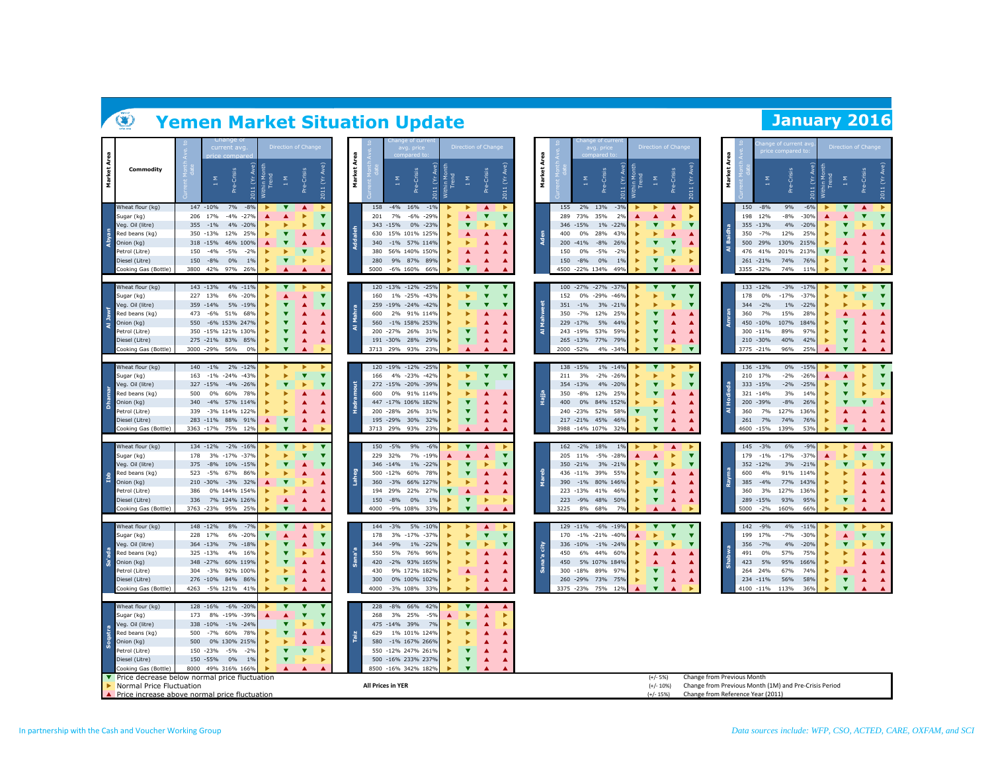# **Yemen Market Situation Update Limitation 1996**

|                |                                                                                                                                                                                                   |                                 | current av                                                                                                                                                                                             |                                                         | Direction of Chang                             |                                   |                                                                 | nge of curre<br>avg. price                                                                                                                                                | Direction of Chang      |                                                       |       |                                                | avg. price                                                                                                                                                                              | Direction of Chan                                                 |                                                                                                              |                                                |                                                                                   | je of current a<br>ce compared t                                                                                                |   | Direction of Chang                                                                                |                         |
|----------------|---------------------------------------------------------------------------------------------------------------------------------------------------------------------------------------------------|---------------------------------|--------------------------------------------------------------------------------------------------------------------------------------------------------------------------------------------------------|---------------------------------------------------------|------------------------------------------------|-----------------------------------|-----------------------------------------------------------------|---------------------------------------------------------------------------------------------------------------------------------------------------------------------------|-------------------------|-------------------------------------------------------|-------|------------------------------------------------|-----------------------------------------------------------------------------------------------------------------------------------------------------------------------------------------|-------------------------------------------------------------------|--------------------------------------------------------------------------------------------------------------|------------------------------------------------|-----------------------------------------------------------------------------------|---------------------------------------------------------------------------------------------------------------------------------|---|---------------------------------------------------------------------------------------------------|-------------------------|
| Market Area    | Commodity                                                                                                                                                                                         |                                 | Pre-Crisis<br>≅<br>$\check{\Sigma}$<br>2011                                                                                                                                                            | Trend<br>$\mathop{\Xi_{\mathrm{H}}}\nolimits$           | Crisis<br>۹ŕ                                   | 2011 (Yr Ave)                     | Market Area                                                     | Pre-Crisis<br>Σ<br>Ĕ.                                                                                                                                                     | thin Mc<br>Trend<br>Σ   | 2011 (Yr Ave)<br>Pre-Crisis                           |       | Area<br>Market                                 | 2011 (Yr Ave)<br>Pre-Crisis<br>$\boldsymbol{\Sigma}$                                                                                                                                    | fithin Mor<br>Trend<br>$\frac{\Sigma}{4}$                         | 2011 (Yr Ave)<br>Pre-Crisis                                                                                  | Area<br>Market                                 | Σ                                                                                 | Pre-Crisis<br>Č<br>2011                                                                                                         |   | -Crisis<br>Σ<br>ġ                                                                                 | 2011 (Yr Ave)           |
| Abyan          | Wheat flour (kg)<br>Sugar (kg)<br>Veg. Oil (litre)<br>Red beans (kg)<br>Onion (kg)<br>Petrol (Litre)<br>Diesel (Litre)<br>Cooking Gas (Bottle)                                                    | 355<br>150<br>150               | 7%<br>147 - 10%<br>$-8%$<br>206 17%<br>$-4%$<br>$-27%$<br>$-1\%$<br>4%<br>$-20%$<br>12%<br>350 -13%<br>25%<br>318 -15%<br>46% 100%<br>$-4%$<br>$-5%$<br>$-2%$<br>$-8%$<br>0%<br>1%<br>3800 42% 97% 26% | ▼                                                       | ▲<br>▲<br>ь                                    | $\overline{\textbf{v}}$           | 158<br>201<br>Addaleh<br>630<br>340<br>380<br>280<br>5000       | $-4\%$ 16%<br>$-1%$<br>7%<br>$-6\% -29\%$<br>343 -15%<br>0% -23%<br>15% 101% 125%<br>-1% 57% 114%<br>56% 140% 150%<br>9% 87% 89%<br>-6% 160% 66%                          |                         | $\overline{\textbf{v}}$<br>▲<br>▲<br>▲                |       | 155<br>289<br>346<br>400<br>200<br>150<br>150  | 2% 13%<br>$-3%$<br>73%<br>35%<br>2%<br>$-15%$<br>1%<br>$-22%$<br>28%<br>0%<br>43%<br>$-41%$<br>$-8%$<br>26%<br>0%<br>$-5%$<br>$-2%$<br>0%<br>$-8%$<br>$1\%$<br>4500 -22% 134%<br>49%    | ▲<br>▼<br>$\overline{\textbf{v}}$<br>٠<br>$\overline{\textbf{v}}$ | ▲<br>▲<br>٠<br>$\overline{\mathbf{v}}$<br>▲<br>$\overline{\mathbf{v}}$<br>ь                                  | 150<br>198<br>355<br>350<br>ৰ                  | $-8%$<br>12%<br>$-13%$<br>$-7%$<br>500 29%<br>476 41%<br>261 -21%<br>3355 - 32%   | 9%<br>$-6%$<br>$-8%$<br>$-30%$<br>4%<br>$-20%$<br>25%<br>12%<br>130%<br>215%<br>201%<br>213%<br>74%<br>76%<br>74%<br>11%        |   | ▲<br>v<br>ь<br>▲<br>▼<br>▲<br>$\overline{\mathbf{v}}$                                             |                         |
| Al Jawf        | Wheat flour (kg)<br>Sugar (kg)<br>Veg. Oil (litre)<br>የed beans (kg)<br>Onion (kg)<br>Petrol (Litre)<br>Diesel (Litre)<br>Cooking Gas (Bottle)                                                    | 473                             | 143 - 13%<br>4% -11%<br>6%<br>$-20%$<br>227 13%<br>359 - 14%<br>5% -19%<br>-6%<br>51%<br>68%<br>550 -6% 153% 247%<br>350 -15% 121% 130%<br>275 -21% 83%<br>85%<br>3000 -29%<br>56%<br>0%               | $\overline{\mathbf{v}}$<br>▼<br>$\overline{\mathbf{v}}$ | ▲<br>▲<br>▲<br>▲<br>▲<br>▲                     | ь<br>$\overline{\mathbf{v}}$<br>▼ | 160<br>Mahra<br>600<br>ৰ                                        | 120 -13% -12% -25%<br>1% -25% -43%<br>259 -19% -24% -42%<br>2% 91% 114%<br>560 -1% 158% 253%<br>200 - 27% 26%<br>319<br>191 - 30% 28%<br>29%<br>3713 29% 93%<br>23%       |                         | $\overline{\mathbf{v}}$<br>▲<br>▲                     | £     | 152<br>351<br>350<br>243<br>₹                  | 100 -27% -27% -37%<br>0% -29%<br>$-46%$<br>$-1\%$<br>3% -21%<br>12%<br>$-7%$<br>25%<br>5%<br>229 -17%<br>44%<br>$-19%$<br>53%<br>59%<br>265 -13%<br>77%<br>79%<br>2000 - 52%<br>4% -34% | $\overline{\textbf{v}}$<br>▼<br>v<br>$\overline{\mathbf{v}}$      | ▼<br>$\overline{\phantom{a}}$<br>$\overline{\mathbf{v}}$<br>ь<br>▲<br>▲<br>▲<br>$\overline{\mathbf{v}}$<br>ь | 178<br>344<br>360                              | 133 -12%<br>$0\%$<br>$-2%$<br>7%<br>450 -10%<br>300 -11%<br>210 -30%<br>3775 -21% | $-3%$<br>$-17%$<br>$-37%$<br>$-17%$<br>$1\%$<br>$-22%$<br>15%<br>28%<br>107%<br>184%<br>89%<br>97%<br>40%<br>42%<br>96%<br>25%  |   | $\overline{\mathbf{v}}$<br>▸<br>$\overline{\mathbf{v}}$<br>▲<br>▼<br>▲<br>$\overline{\textbf{v}}$ |                         |
| <b>Dhamar</b>  | Wheat flour (kg)<br>Sugar (kg)<br>Veg. Oil (litre)<br>Red beans (kg)<br>Onion (kg)<br>Petrol (Litre)<br>Diesel (Litre)<br>Cooking Gas (Bottle)                                                    | 163<br>500<br>340<br>339        | 2% -12%<br>140 -1%<br>$-1\% -24\%$<br>$-43%$<br>327 -15%<br>-4% -26%<br>60%<br>$0\%$<br>78%<br>-4% 57% 114%<br>-3% 114% 122%<br>283 -11% 88% 91%<br>3363 -17% 75%<br>12%                               | ▼                                                       | $\overline{\mathbf{v}}$<br>ь<br>▲<br>▲         | $\overline{\mathbf{v}}$           | ă<br>600<br>Hadra                                               | 120 -19% -12% -25%<br>4% -23% -42%<br>166<br>272 -15% -20% -39%<br>0% 91% 114%<br>447 -17% 106% 182%<br>200 - 28% 26% 31%<br>195 - 29% 30% 32%<br>3713 29% 93%<br>23%     |                         | $\overline{\phantom{a}}$<br>v<br>▲<br>▲<br>▲          | Hajia | 211<br>354<br>350<br>400                       | 138 -15%<br>1% - 14%<br>3%<br>$-2%$<br>$-26%$<br>$-13%$<br>4% -20%<br>$-8%$<br>12%<br>25%<br>$0\%$<br>84% 152%<br>240 -23%<br>52%<br>58<br>217 -21% 45%<br>46%<br>3988 -14% 107%<br>32% | ▼<br>ь<br>▼<br>$\overline{\textbf{v}}$<br>$\overline{\mathbf{v}}$ | ь<br>$\overline{\textbf{v}}$<br>ь                                                                            | Ŧ<br>ৰ<br>360<br>261                           | 136 -13%<br>210 17%<br>333 -15%<br>321 -14%<br>200 -39%<br>7%<br>7%<br>4600 -15%  | $0\%$<br>$-15%$<br>$-2%$<br>$-26%$<br>$-2%$<br>$-25%$<br>3%<br>14%<br>$-8%$<br>26%<br>127%<br>136%<br>74%<br>76%<br>139%<br>53% | ь | ь<br>Þ<br>▲<br>▲<br>$\overline{\textbf{v}}$                                                       | $\overline{\mathbf{v}}$ |
| dqI            | Wheat flour (kg)<br>Sugar (kg)<br>Veg. Oil (litre)<br>Red beans (kg)<br>Onion (kg)<br>Petrol (Litre)<br>Diesel (Litre)<br>Cooking Gas (Bottle)                                                    | 178<br>375<br>523<br>386<br>336 | 134 -12%<br>$-2\% -16\%$<br>$-17% -37%$<br>3%<br>$-8%$<br>10% -15%<br>$-5%$<br>67%<br>86%<br>210 -30%<br>-3% 32%<br>0% 144% 154%<br>7% 124% 126%<br>3763 - 23%<br>95%<br>25%                           | ▼<br>▲<br>$\overline{\phantom{a}}$                      | ▲<br>▲<br>▲                                    | ▼<br>$\overline{\phantom{a}}$     | 150<br>229<br>Laheg<br>360<br>194<br>150<br>4000                | $-5%$<br>9%<br>$-6%$<br>$-19%$<br>32%<br>7%<br>346 -14%<br>1% -22%<br>500 -12%<br>60%<br>78%<br>-3% 66% 127%<br>22%<br>29%<br>27%<br>$-8%$<br>0%<br>1%<br>-9% 108%<br>33% | $\overline{\textbf{v}}$ | ▲<br>▲<br>▲<br>ь                                      |       | 205<br>390<br>223<br>223<br>3225               | 162 - 2% 18%<br>1%<br>$-5%$<br>$-289$<br>11%<br>3%<br>350 -21%<br>$-21%$<br>436 -11%<br>39%<br>55%<br>-1% 80% 146%<br>41%<br>$-13%$<br>46%<br>-9% 48%<br>50%<br>8%<br>68%               | ▼<br>▼<br>$\overline{\textbf{v}}$<br>$\overline{\textbf{v}}$<br>٠ | $\blacktriangle$<br>ь<br>ь<br>$\overline{\mathbf{v}}$<br>ь<br>A                                              | 179<br>352<br>600<br>385<br>360<br>289<br>5000 | 145 - 3%<br>$-1%$<br>$-12%$<br>4%<br>$-4%$<br>3%<br>$-15%$<br>$-2%$               | 6%<br>$-9%$<br>$-17%$<br>$-37%$<br>3%<br>$-21%$<br>91%<br>114%<br>77%<br>143%<br>127%<br>136%<br>93%<br>95%<br>160%<br>66%      | ь | ▲<br>$\overline{\phantom{a}}$<br>ь<br>▲<br>$\overline{\textbf{v}}$<br>$\blacktriangle$            | $\overline{\mathbf{v}}$ |
| sa'ada         | Wheat flour (kg)<br>Sugar (kg)<br>/eg. Oil (litre)<br>Red beans (kg)<br>Onion (kg)<br>Petrol (Litre)<br>Diesel (Litre)<br>Cooking Gas (Bottle)                                                    | 228<br>304<br>4263              | 148 - 12%<br>8%<br>$-79$<br>$-20%$<br>17%<br>6%<br>364 -13%<br>7%<br>$-18%$<br>325 -13%<br>4%<br>16%<br>348 -27%<br>60% 119%<br>$-3%$<br>92% 100%<br>276 -10% 84% 86%<br>$-5\%$ 121%<br>41%            | $\overline{\mathbf{v}}$<br>ь                            | ▲<br>▲<br>▲<br>ь<br>▲<br>▲<br>$\blacktriangle$ | ▶<br>▼                            | 144<br>178<br>344<br>Sana'a<br>550<br>420<br>430<br>300<br>4000 | -3% 5% -10%<br>3% -17% -37%<br>$-9%$<br>1%<br>$-22%$<br>5%<br>76%<br>96%<br>-2% 93% 165%<br>9% 172% 182%<br>0% 100% 102%<br>-3% 108%<br>33%                               |                         | ▲<br>$\overline{\mathbf{v}}$<br>٠<br>▼<br>▴<br>▲<br>▲ |       | 170<br>336<br>city<br>450<br>450<br>300<br>260 | 129 -11% -6% -19%<br>$-1\% -21\%$<br>$-40%$<br>$-10%$<br>$-1\% -24\%$<br>44%<br>6%<br>60%<br>5% 107% 184%<br>$-18%$<br>89%<br>97%<br>-29% 73%<br>75%<br>3375 - 23%<br>75%<br>12%        | v<br>▼<br>$\overline{\textbf{v}}$<br>$\overline{\mathbf{v}}$      | ь                                                                                                            | 142<br>199<br>356<br>491<br>423<br>264<br>234  | $-9%$<br>17%<br>$-7%$<br>0%<br>5%<br>24%<br>$-11%$<br>4100 -11%                   | 4%<br>$-11%$<br>$-7%$<br>$-30%$<br>4%<br>$-20%$<br>57%<br>75%<br>95%<br>166%<br>67%<br>74%<br>56%<br>58%<br>113%<br>36%         | ь | Þ<br>▶<br>$\overline{\textbf{v}}$<br>▲<br>$\overline{\mathbf{v}}$                                 |                         |
| <b>Soqatra</b> | Wheat flour (kg)<br>Sugar (kg)<br>Veg. Oil (litre)<br>Red beans (kg)<br>Onion (kg)<br>Petrol (Litre)<br>Diesel (Litre)<br>Cooking Gas (Bottle)<br>▼ Price decrease below normal price fluctuation | 173<br>500<br>500<br>8000       | 128 -16%<br>$-6\% -20\%$<br>8%<br>$-19%$<br>$-39%$<br>338 -10%<br>$-1\% -24\%$<br>$-7%$<br>60%<br>78%<br>0% 130% 215%<br>150 -23%<br>$-5%$<br>$-2%$<br>150 - 55%<br>$0\%$<br>1%<br>49% 316% 166%       |                                                         | ▲<br>$\overline{\textbf{v}}$<br>ь              |                                   | 228<br>268<br>629<br>Taiz                                       | -8% 66% 42%<br>3% 25%<br>$-5%$<br>475 -14% 39%<br>7%<br>1% 101% 124%<br>580 -1% 167% 266%<br>550 -12% 247% 261%<br>500 -16% 233% 237%<br>8500 -16% 342% 1829              | $\overline{\textbf{v}}$ | $\blacktriangle$<br>ь<br>▲<br>▲<br>ь<br>▲<br>▲        |       |                                                |                                                                                                                                                                                         | $(+/- 5%)$                                                        |                                                                                                              | Change from Previous Month                     |                                                                                   |                                                                                                                                 |   |                                                                                                   |                         |
|                | Normal Price Fluctuation<br>Price increase above normal price fluctuation                                                                                                                         |                                 |                                                                                                                                                                                                        |                                                         |                                                |                                   |                                                                 | All Prices in YER                                                                                                                                                         |                         |                                                       |       |                                                |                                                                                                                                                                                         | $(+/- 10%)$<br>$(+/- 15%)$                                        |                                                                                                              | Change from Reference Year (2011)              |                                                                                   | Change from Previous Month (1M) and Pre-Crisis Period                                                                           |   |                                                                                                   |                         |